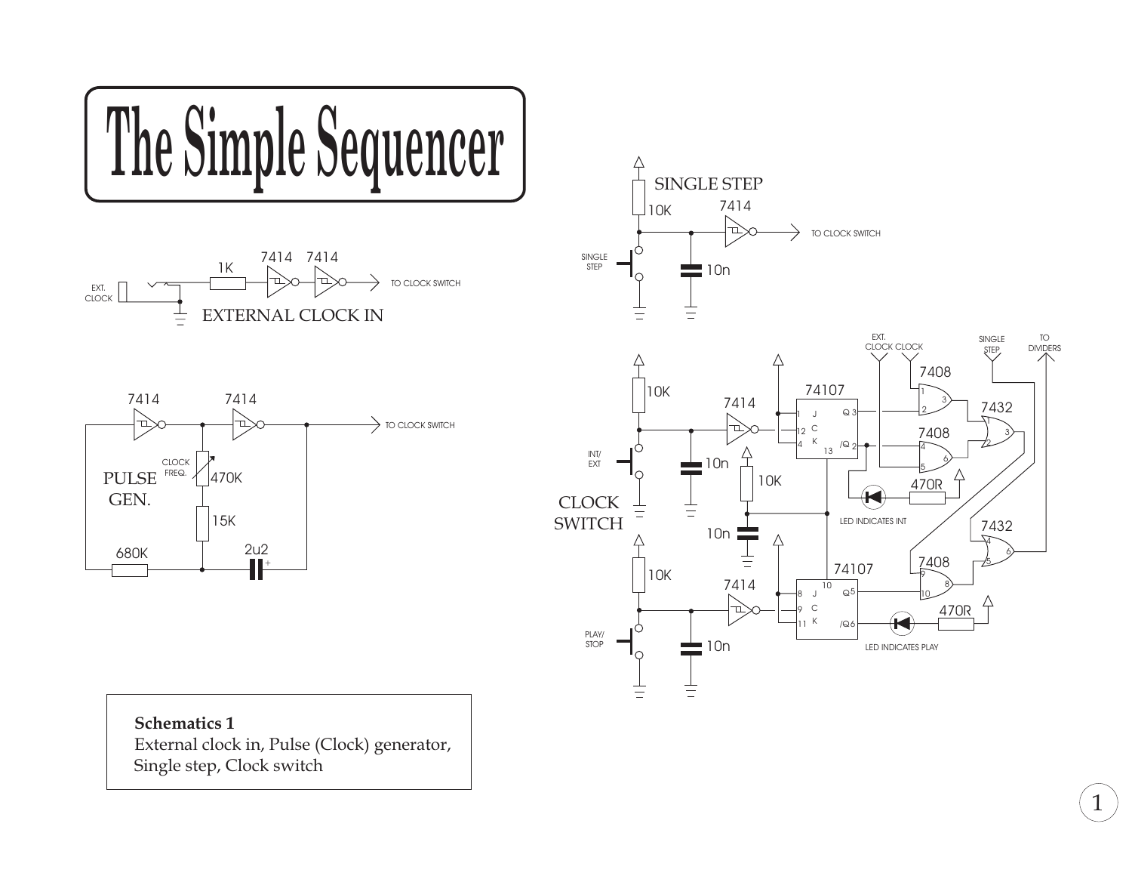

External clock in, Pulse (Clock) generator, Single step, Clock switch

1

TO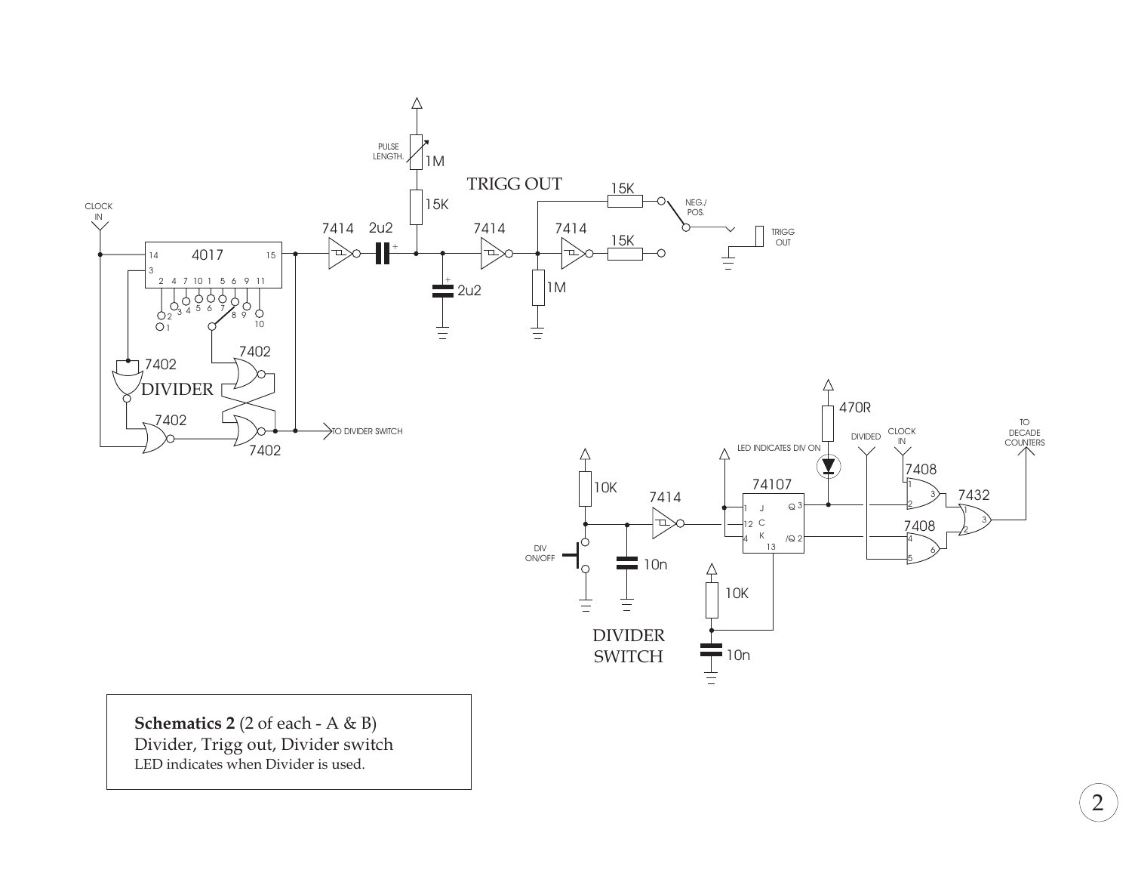

2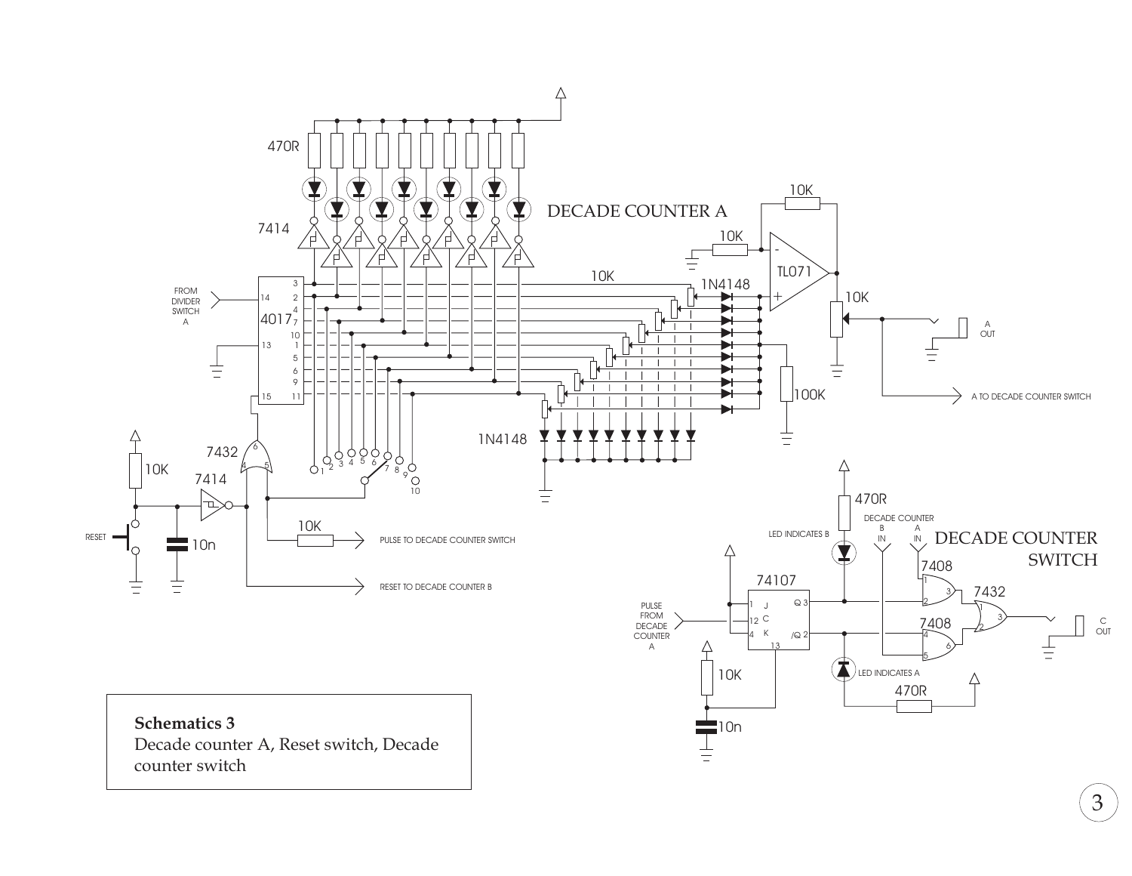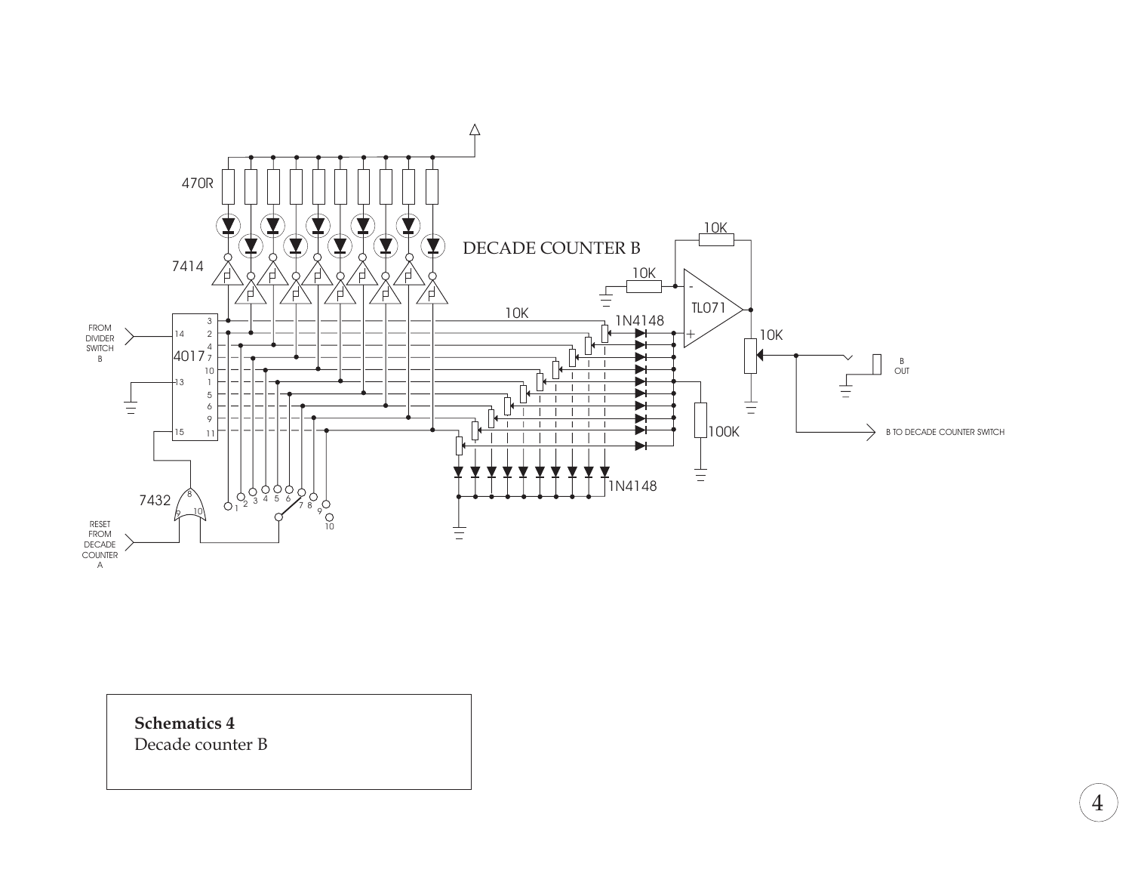

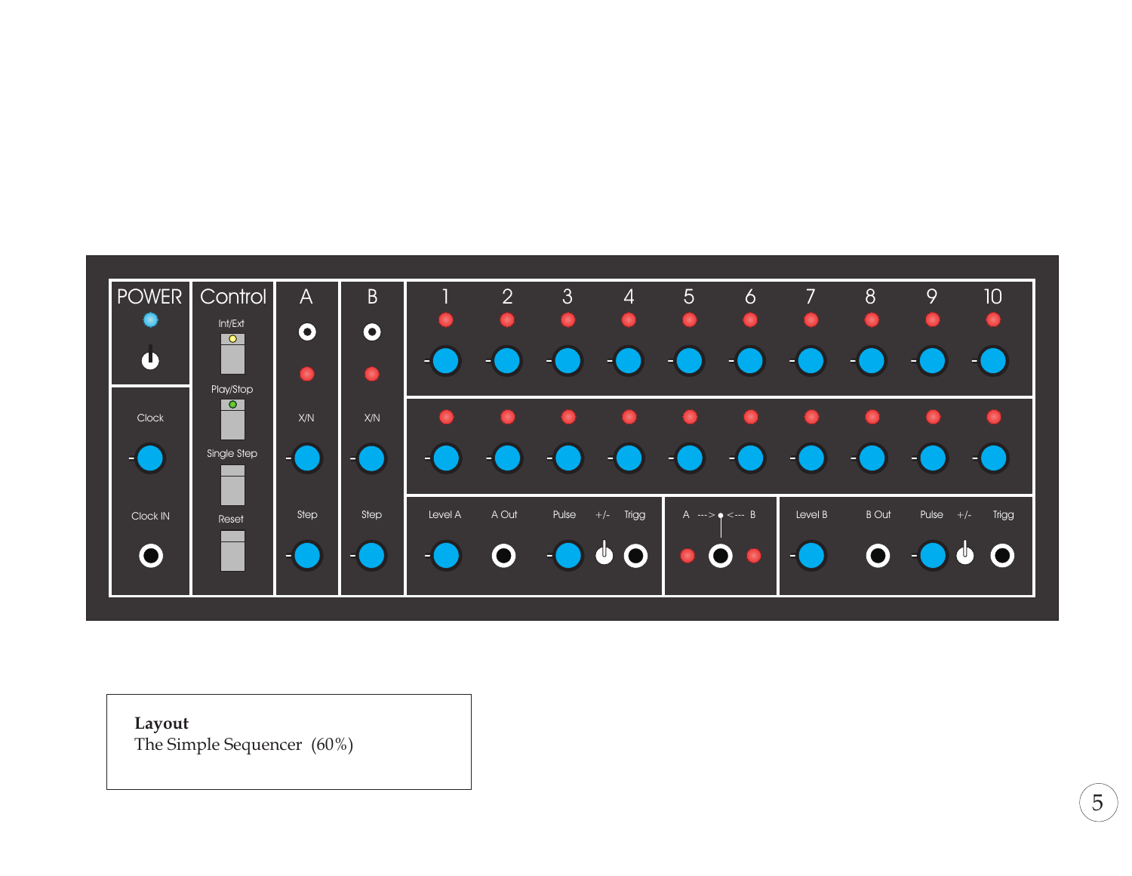

**Layout** The Simple Sequencer (60%)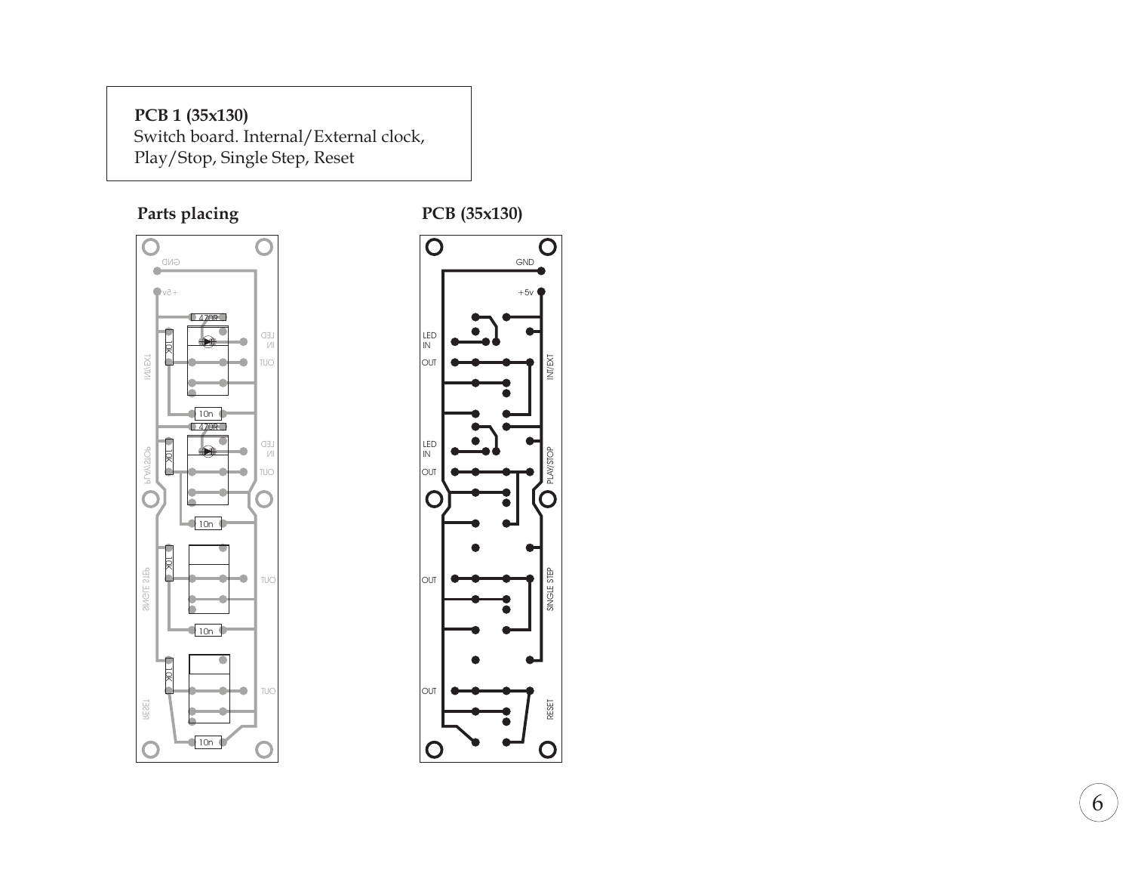### **PCB 1 (35x130)**

Switch board. Internal/External clock, Play/Stop, Single Step, Reset

## **Parts placing PCB** (35x130)



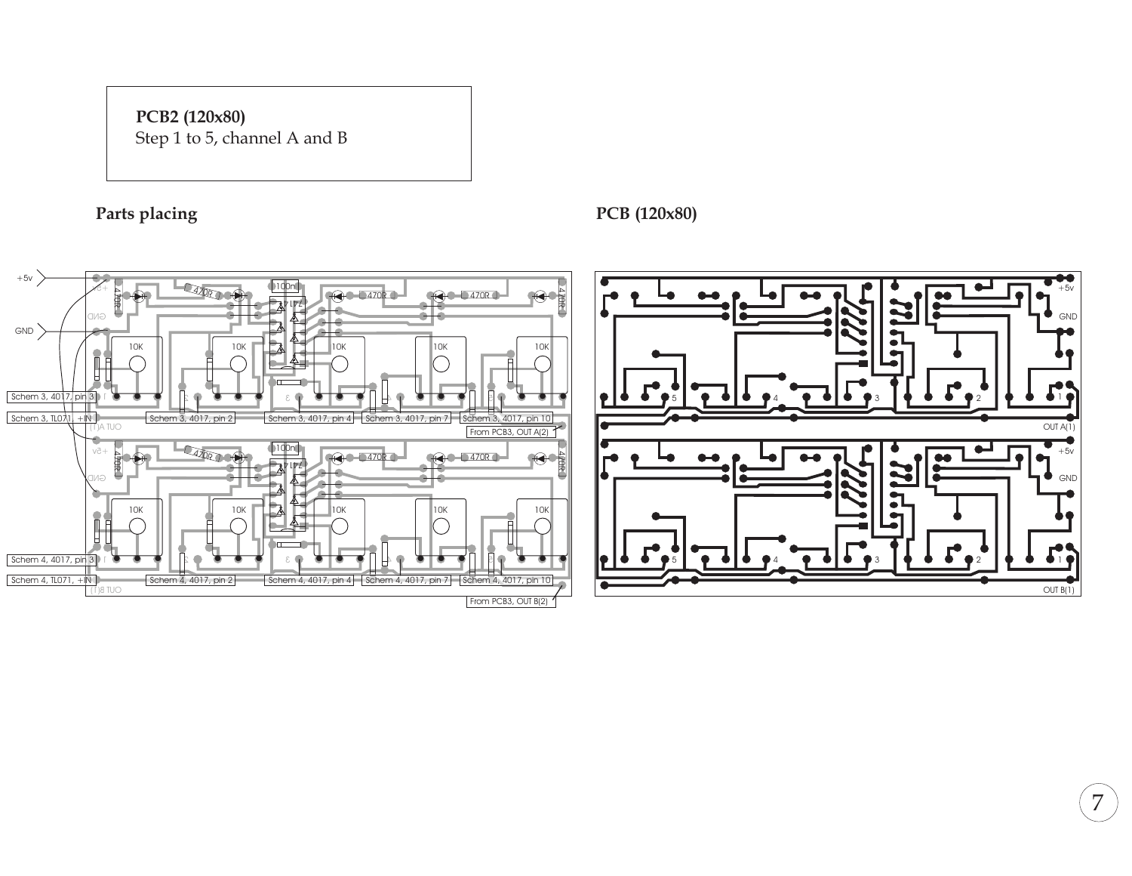# **PCB2 (120x80)**

Step 1 to 5, channel A and <sup>B</sup>



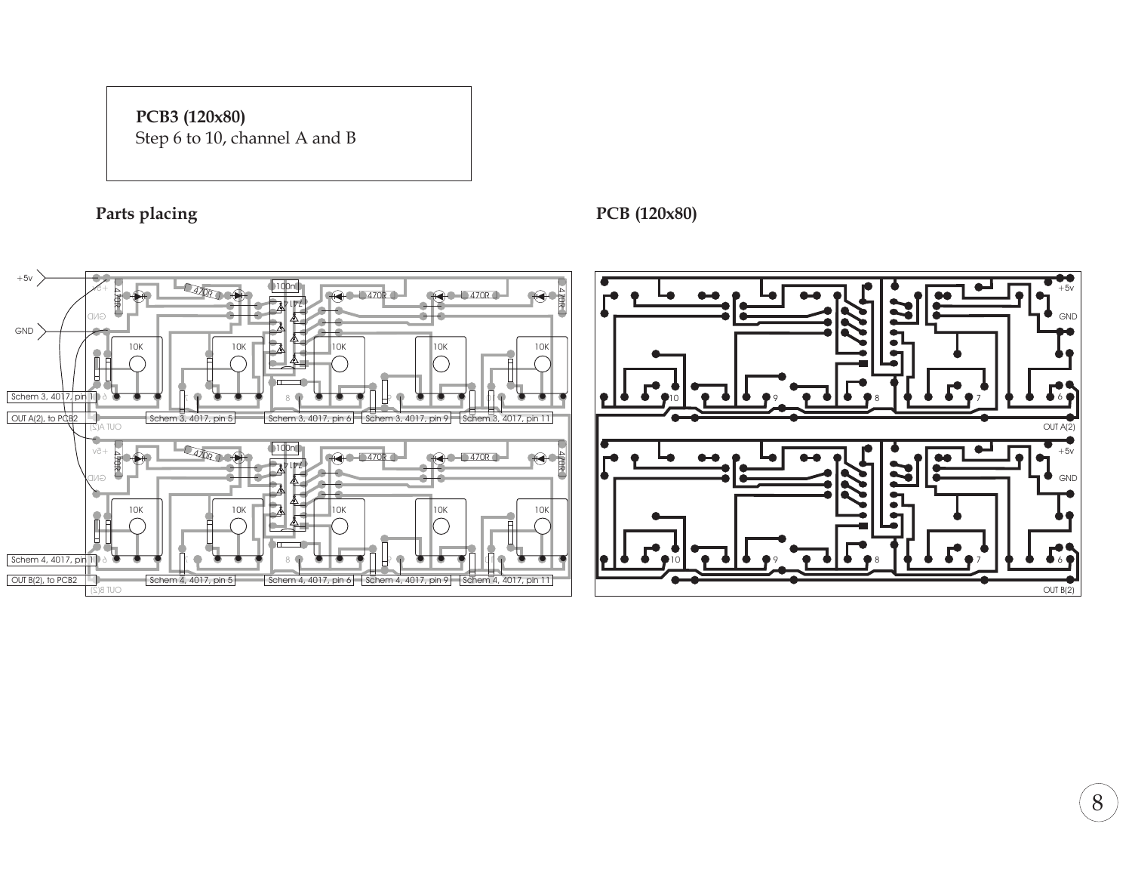## **PCB3 (120x80)** Step 6 to 10, channel A and <sup>B</sup>



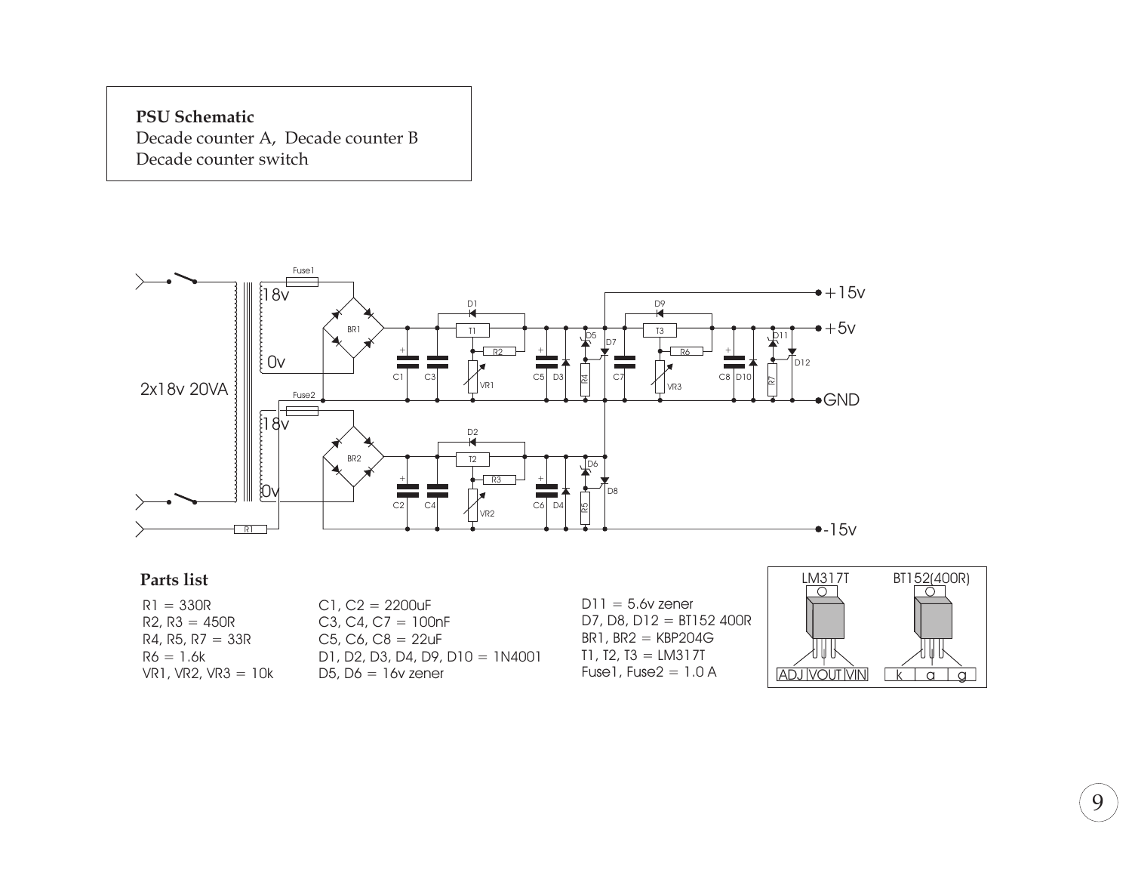**PSU Schematic** Decade counter A, Decade counter B Decade counter switch



### **Parts list**

 $R1 = 330R$  $R2, R3 = 450R$  $R4, R5, R7 = 33R$  $R6 = 1.6k$ VR1, VR2, VR3 <sup>=</sup> 10k  $C1, C2 = 2200uF$ C3, C4, C7 =  $100nF$ C5, C6, C8 <sup>=</sup> 22uF D1, D2, D3, D4, D9, D10 <sup>=</sup> 1N4001 D5,  $D6 = 16v$  zener

 $D11 = 5.6v$  zener D7, D8, D12 <sup>=</sup> BT152 400R  $BR1, BR2 = KBP204G$  $T1, T2, T3 = LM317T$ Fuse $1,$  Fuse $2 = 1.0$  A